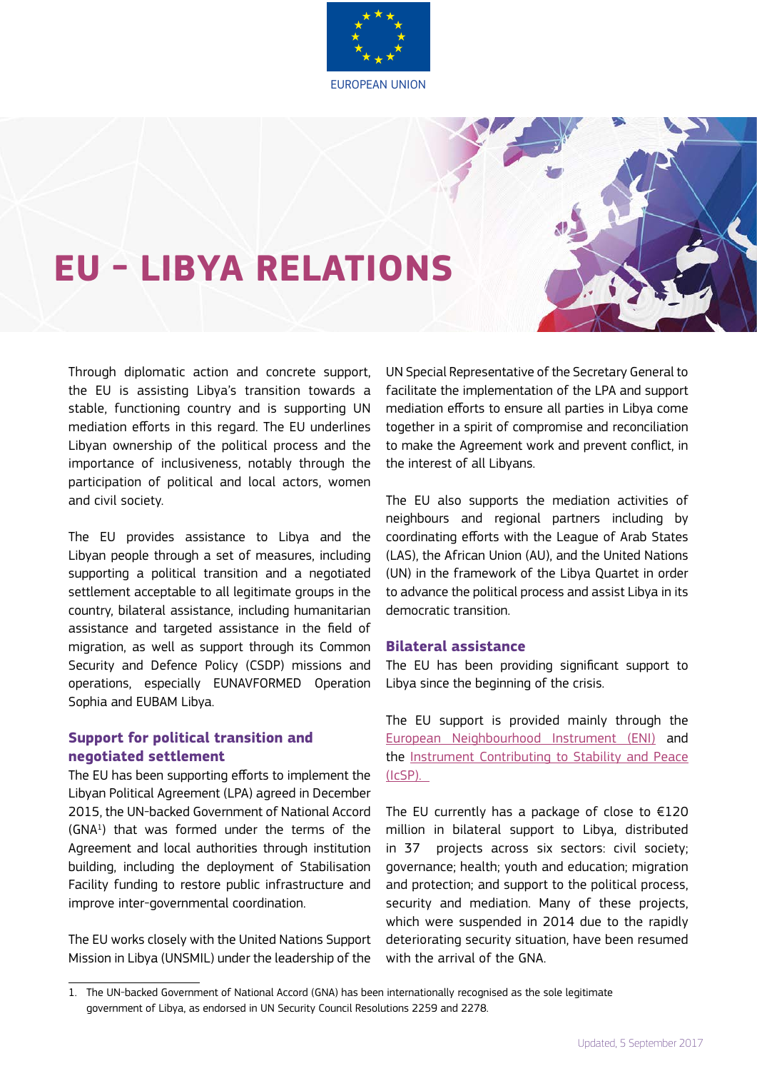

# **EU - LIBYA RELATIONS**

Through diplomatic action and concrete support, the EU is assisting Libya's transition towards a stable, functioning country and is supporting UN mediation efforts in this regard. The EU underlines Libyan ownership of the political process and the importance of inclusiveness, notably through the participation of political and local actors, women and civil society.

The EU provides assistance to Libya and the Libyan people through a set of measures, including supporting a political transition and a negotiated settlement acceptable to all legitimate groups in the country, bilateral assistance, including humanitarian assistance and targeted assistance in the field of migration, as well as support through its Common Security and Defence Policy (CSDP) missions and operations, especially EUNAVFORMED Operation Sophia and EUBAM Libya.

# **Support for political transition and negotiated settlement**

The EU has been supporting efforts to implement the Libyan Political Agreement (LPA) agreed in December 2015, the UN-backed Government of National Accord (GNA1 ) that was formed under the terms of the Agreement and local authorities through institution building, including the deployment of Stabilisation Facility funding to restore public infrastructure and improve inter-governmental coordination.

The EU works closely with the United Nations Support Mission in Libya (UNSMIL) under the leadership of the

UN Special Representative of the Secretary General to facilitate the implementation of the LPA and support mediation efforts to ensure all parties in Libya come together in a spirit of compromise and reconciliation to make the Agreement work and prevent conflict, in the interest of all Libyans.

The EU also supports the mediation activities of neighbours and regional partners including by coordinating efforts with the League of Arab States (LAS), the African Union (AU), and the United Nations (UN) in the framework of the Libya Quartet in order to advance the political process and assist Libya in its democratic transition.

## **Bilateral assistance**

The EU has been providing significant support to Libya since the beginning of the crisis.

The EU support is provided mainly through the [European Neighbourhood Instrument](https://ec.europa.eu/neighbourhood-enlargement/neighbourhood/countries/libya_en) (ENI) and the [Instrument Contributing to Stability and Peace](https://www.insightonconflict.org/icsp/) (IcSP).

The EU currently has a package of close to  $£120$ million in bilateral support to Libya, distributed in 37 projects across six sectors: civil society; governance; health; youth and education; migration and protection; and support to the political process, security and mediation. Many of these projects, which were suspended in 2014 due to the rapidly deteriorating security situation, have been resumed with the arrival of the GNA.

<sup>1.</sup> The UN-backed Government of National Accord (GNA) has been internationally recognised as the sole legitimate government of Libya, as endorsed in UN Security Council Resolutions 2259 and 2278.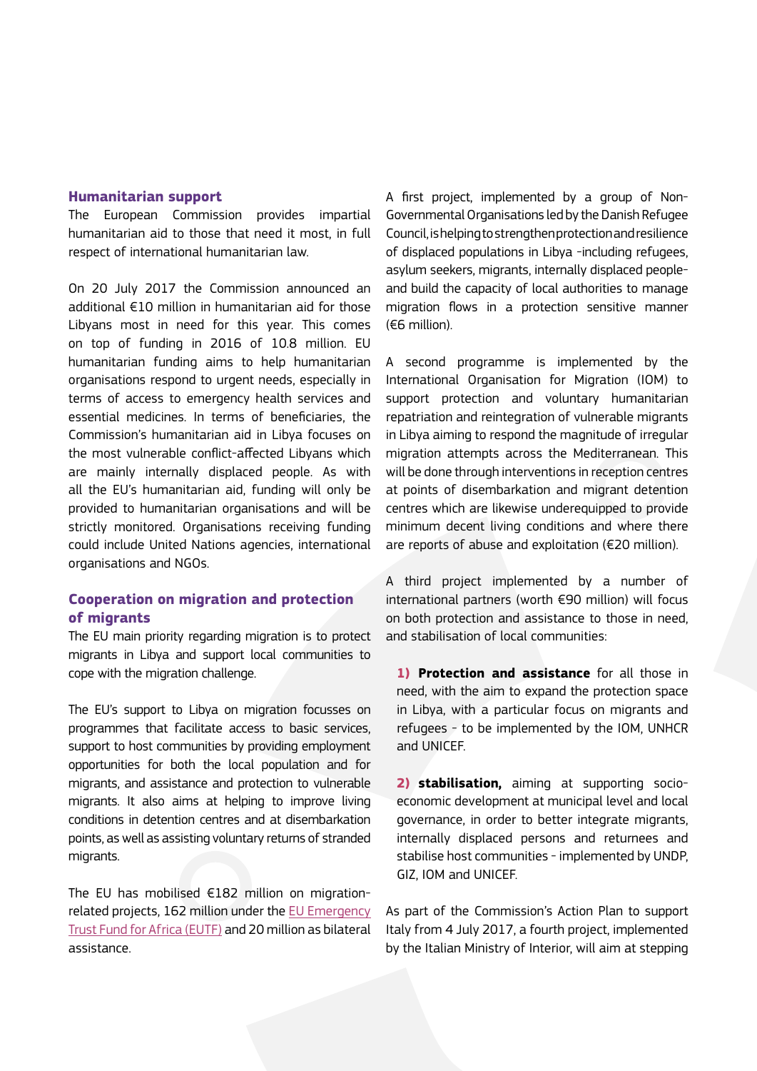## **Humanitarian support**

The European Commission provides impartial humanitarian aid to those that need it most, in full respect of international humanitarian law.

On 20 July 2017 the Commission announced an additional €10 million in humanitarian aid for those Libyans most in need for this year. This comes on top of funding in 2016 of 10.8 million. EU humanitarian funding aims to help humanitarian organisations respond to urgent needs, especially in terms of access to emergency health services and essential medicines. In terms of beneficiaries, the Commission's humanitarian aid in Libya focuses on the most vulnerable conflict-affected Libyans which are mainly internally displaced people. As with all the EU's humanitarian aid, funding will only be provided to humanitarian organisations and will be strictly monitored. Organisations receiving funding could include United Nations agencies, international organisations and NGOs.

# **Cooperation on migration and protection of migrants**

The EU main priority regarding migration is to protect migrants in Libya and support local communities to cope with the migration challenge.

The EU's support to Libya on migration focusses on programmes that facilitate access to basic services, support to host communities by providing employment opportunities for both the local population and for migrants, and assistance and protection to vulnerable migrants. It also aims at helping to improve living conditions in detention centres and at disembarkation points, as well as assisting voluntary returns of stranded migrants.

The EU has mobilised €182 million on migrationrelated projects, 162 million under the [EU Emergency](http://ec.europa.eu/europeaid/regions/africa/eu-emergency-trust-fund/north-africa_en)  [Trust Fund for Africa \(EUTF\)](http://ec.europa.eu/europeaid/regions/africa/eu-emergency-trust-fund/north-africa_en) and 20 million as bilateral assistance.

A first project, implemented by a group of Non-Governmental Organisations led by the Danish Refugee Council, is helping to strengthen protection and resilience of displaced populations in Libya -including refugees, asylum seekers, migrants, internally displaced peopleand build the capacity of local authorities to manage migration flows in a protection sensitive manner (€6 million).

A second programme is implemented by the International Organisation for Migration (IOM) to support protection and voluntary humanitarian repatriation and reintegration of vulnerable migrants in Libya aiming to respond the magnitude of irregular migration attempts across the Mediterranean. This will be done through interventions in reception centres at points of disembarkation and migrant detention centres which are likewise underequipped to provide minimum decent living conditions and where there are reports of abuse and exploitation (€20 million).

A third project implemented by a number of international partners (worth €90 million) will focus on both protection and assistance to those in need, and stabilisation of local communities:

**1) Protection and assistance** for all those in need, with the aim to expand the protection space in Libya, with a particular focus on migrants and refugees - to be implemented by the IOM, UNHCR and UNICEF.

**2) stabilisation,** aiming at supporting socioeconomic development at municipal level and local governance, in order to better integrate migrants, internally displaced persons and returnees and stabilise host communities - implemented by UNDP, GIZ, IOM and UNICEF.

As part of the Commission's Action Plan to support Italy from 4 July 2017, a fourth project, implemented by the Italian Ministry of Interior, will aim at stepping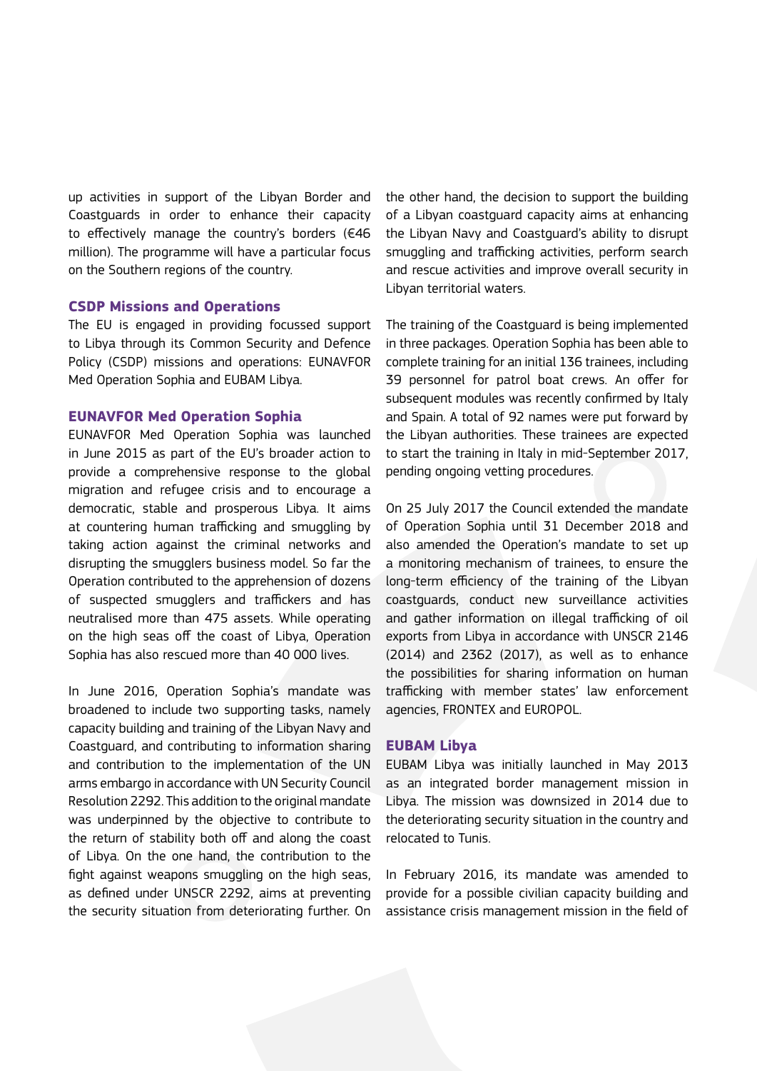up activities in support of the Libyan Border and Coastguards in order to enhance their capacity to effectively manage the country's borders ( $€46$ million). The programme will have a particular focus on the Southern regions of the country.

### **CSDP Missions and Operations**

The EU is engaged in providing focussed support to Libya through its Common Security and Defence Policy (CSDP) missions and operations: EUNAVFOR Med Operation Sophia and EUBAM Libya.

### **EUNAVFOR Med Operation Sophia**

EUNAVFOR Med Operation Sophia was launched in June 2015 as part of the EU's broader action to provide a comprehensive response to the global migration and refugee crisis and to encourage a democratic, stable and prosperous Libya. It aims at countering human trafficking and smuggling by taking action against the criminal networks and disrupting the smugglers business model. So far the Operation contributed to the apprehension of dozens of suspected smugglers and traffickers and has neutralised more than 475 assets. While operating on the high seas off the coast of Libya, Operation Sophia has also rescued more than 40 000 lives.

In June 2016, Operation Sophia's mandate was broadened to include two supporting tasks, namely capacity building and training of the Libyan Navy and Coastguard, and contributing to information sharing and contribution to the implementation of the UN arms embargo in accordance with UN Security Council Resolution 2292. This addition to the original mandate was underpinned by the objective to contribute to the return of stability both off and along the coast of Libya. On the one hand, the contribution to the fight against weapons smuggling on the high seas, as defined under UNSCR 2292, aims at preventing the security situation from deteriorating further. On

the other hand, the decision to support the building of a Libyan coastguard capacity aims at enhancing the Libyan Navy and Coastguard's ability to disrupt smuggling and trafficking activities, perform search and rescue activities and improve overall security in Libyan territorial waters.

The training of the Coastguard is being implemented in three packages. Operation Sophia has been able to complete training for an initial 136 trainees, including 39 personnel for patrol boat crews. An offer for subsequent modules was recently confirmed by Italy and Spain. A total of 92 names were put forward by the Libyan authorities. These trainees are expected to start the training in Italy in mid-September 2017, pending ongoing vetting procedures.

On 25 July 2017 the Council extended the mandate of Operation Sophia until 31 December 2018 and also amended the Operation's mandate to set up a monitoring mechanism of trainees, to ensure the long-term efficiency of the training of the Libyan coastguards, conduct new surveillance activities and gather information on illegal trafficking of oil exports from Libya in accordance with UNSCR 2146 (2014) and 2362 (2017), as well as to enhance the possibilities for sharing information on human trafficking with member states' law enforcement agencies, FRONTEX and EUROPOL.

#### **EUBAM Libya**

EUBAM Libya was initially launched in May 2013 as an integrated border management mission in Libya. The mission was downsized in 2014 due to the deteriorating security situation in the country and relocated to Tunis.

In February 2016, its mandate was amended to provide for a possible civilian capacity building and assistance crisis management mission in the field of